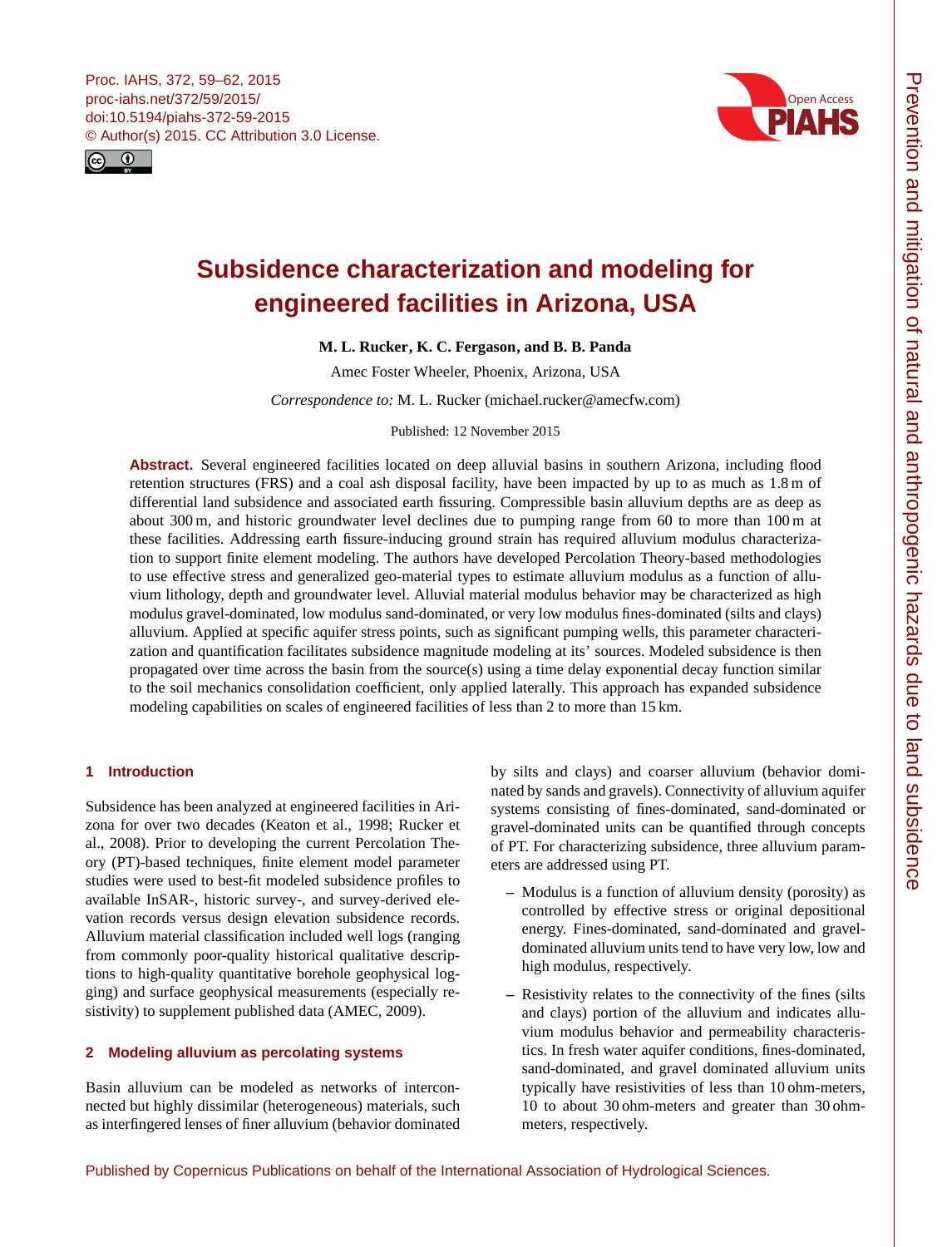<span id="page-0-0"></span>



# **Subsidence characterization and modeling for engineered facilities in Arizona, USA**

**M. L. Rucker, K. C. Fergason, and B. B. Panda**

Amec Foster Wheeler, Phoenix, Arizona, USA

*Correspondence to:* M. L. Rucker (michael.rucker@amecfw.com)

Published: 12 November 2015

**Abstract.** Several engineered facilities located on deep alluvial basins in southern Arizona, including flood retention structures (FRS) and a coal ash disposal facility, have been impacted by up to as much as 1.8 m of differential land subsidence and associated earth fissuring. Compressible basin alluvium depths are as deep as about 300 m, and historic groundwater level declines due to pumping range from 60 to more than 100 m at these facilities. Addressing earth fissure-inducing ground strain has required alluvium modulus characterization to support finite element modeling. The authors have developed Percolation Theory-based methodologies to use effective stress and generalized geo-material types to estimate alluvium modulus as a function of alluvium lithology, depth and groundwater level. Alluvial material modulus behavior may be characterized as high modulus gravel-dominated, low modulus sand-dominated, or very low modulus fines-dominated (silts and clays) alluvium. Applied at specific aquifer stress points, such as significant pumping wells, this parameter characterization and quantification facilitates subsidence magnitude modeling at its' sources. Modeled subsidence is then propagated over time across the basin from the source(s) using a time delay exponential decay function similar to the soil mechanics consolidation coefficient, only applied laterally. This approach has expanded subsidence modeling capabilities on scales of engineered facilities of less than 2 to more than 15 km.

# **1 Introduction**

Subsidence has been analyzed at engineered facilities in Arizona for over two decades (Keaton et al., 1998; Rucker et al., 2008). Prior to developing the current Percolation Theory (PT)-based techniques, finite element model parameter studies were used to best-fit modeled subsidence profiles to available InSAR-, historic survey-, and survey-derived elevation records versus design elevation subsidence records. Alluvium material classification included well logs (ranging from commonly poor-quality historical qualitative descriptions to high-quality quantitative borehole geophysical logging) and surface geophysical measurements (especially resistivity) to supplement published data (AMEC, 2009).

# **2 Modeling alluvium as percolating systems**

Basin alluvium can be modeled as networks of interconnected but highly dissimilar (heterogeneous) materials, such as interfingered lenses of finer alluvium (behavior dominated by silts and clays) and coarser alluvium (behavior dominated by sands and gravels). Connectivity of alluvium aquifer systems consisting of fines-dominated, sand-dominated or gravel-dominated units can be quantified through concepts of PT. For characterizing subsidence, three alluvium parameters are addressed using PT.

- **–** Modulus is a function of alluvium density (porosity) as controlled by effective stress or original depositional energy. Fines-dominated, sand-dominated and graveldominated alluvium units tend to have very low, low and high modulus, respectively.
- **–** Resistivity relates to the connectivity of the fines (silts and clays) portion of the alluvium and indicates alluvium modulus behavior and permeability characteristics. In fresh water aquifer conditions, fines-dominated, sand-dominated, and gravel dominated alluvium units typically have resistivities of less than 10 ohm-meters, 10 to about 30 ohm-meters and greater than 30 ohmmeters, respectively.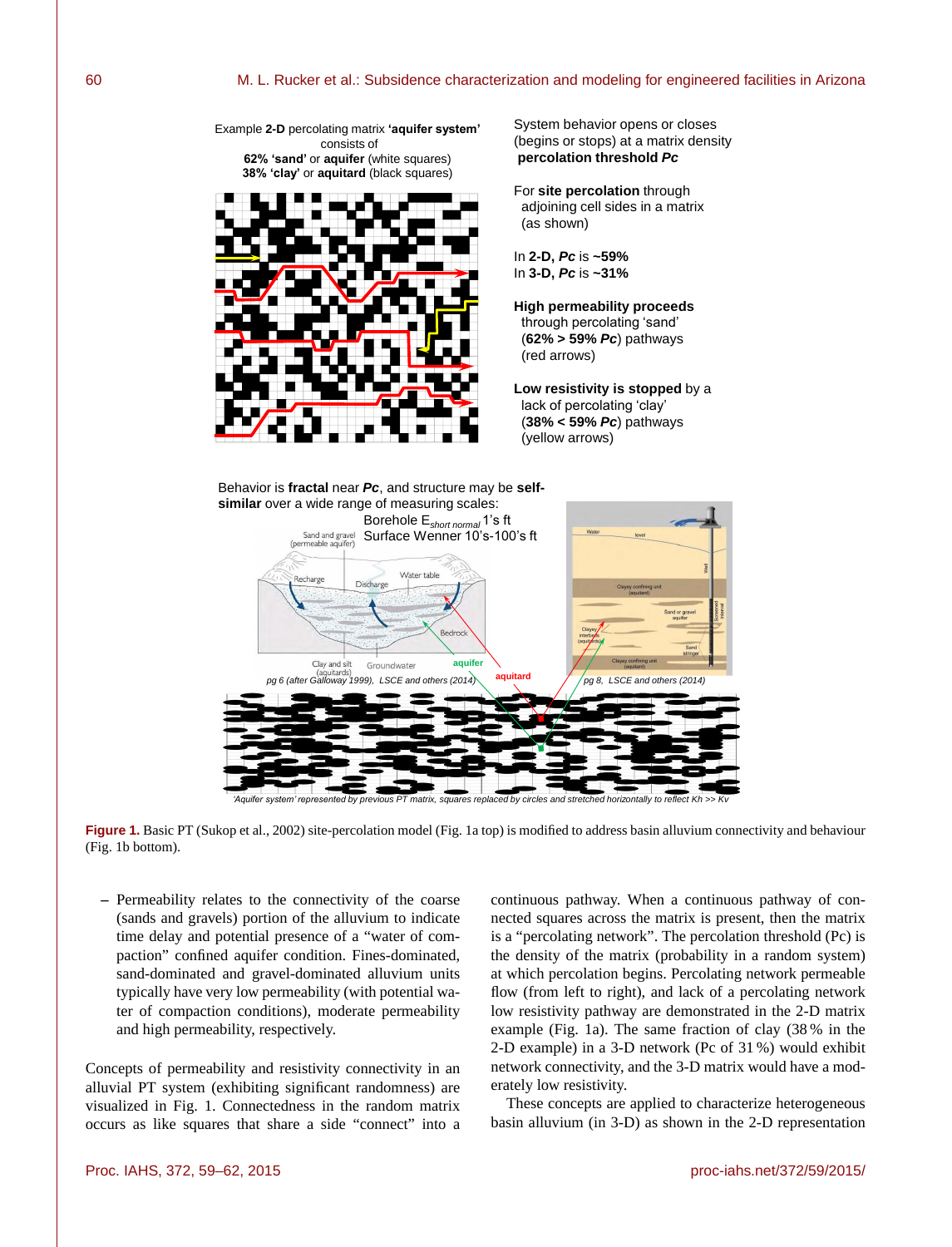

*'Aquifer system' represented by previous PT matrix, squares replaced by circles and stretched horizontally to reflect Kh >> Kv*



**–** Permeability relates to the connectivity of the coarse (sands and gravels) portion of the alluvium to indicate time delay and potential presence of a "water of compaction" confined aquifer condition. Fines-dominated, sand-dominated and gravel-dominated alluvium units typically have very low permeability (with potential water of compaction conditions), moderate permeability and high permeability, respectively.

Concepts of permeability and resistivity connectivity in an alluvial PT system (exhibiting significant randomness) are visualized in Fig. 1. Connectedness in the random matrix occurs as like squares that share a side "connect" into a

7 nected squares across the matrix is present, then the matrix continuous pathway. When a continuous pathway of conis a "percolating network". The percolation threshold (Pc) is the density of the matrix (probability in a random system) at which percolation begins. Percolating network permeable flow (from left to right), and lack of a percolating network low resistivity pathway are demonstrated in the 2-D matrix example (Fig. 1a). The same fraction of clay (38 % in the 2-D example) in a 3-D network (Pc of 31 %) would exhibit network connectivity, and the 3-D matrix would have a moderately low resistivity.

These concepts are applied to characterize heterogeneous basin alluvium (in 3-D) as shown in the 2-D representation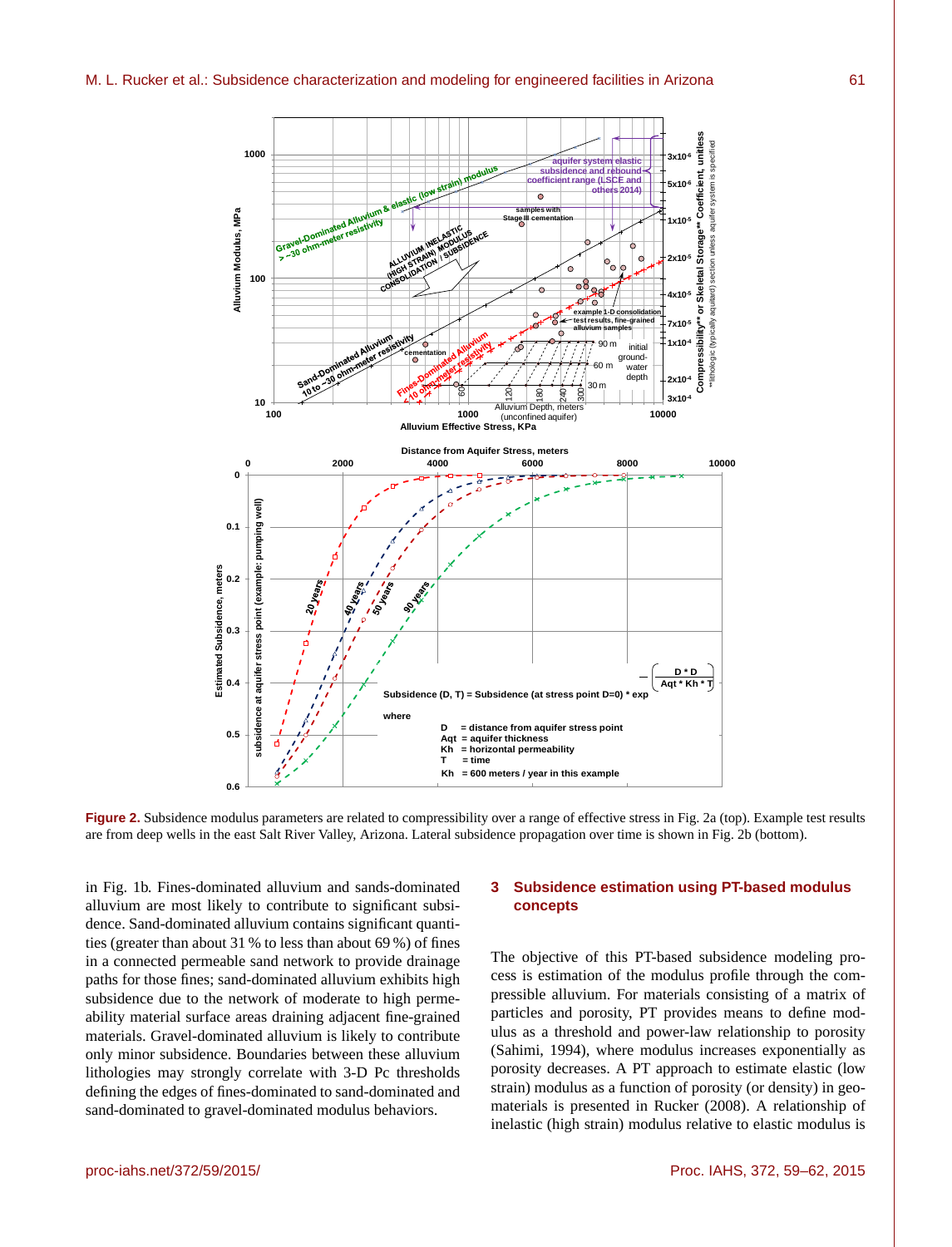

Figure 2. Subsidence modulus parameters are related to compressibility over a range of effective stress in Fig. 2a (top). Example test results are from deep wells in the east Salt River Valley, Arizona. Lateral subsidence propagation over time is shown in Fig. 2b (bottom).

 $44.24$  effective stress in Fig. 2A (top). Example test results are from deep wells are from deep wells in the east Salta

alluvium are most likely to contribute to significant subsiin Fig. 1b. Fines-dominated alluvium and sands-dominated dence. Sand-dominated alluvium contains significant quantities (greater than about 31 % to less than about 69 %) of fines in a connected permeable sand network to provide drainage paths for those fines; sand-dominated alluvium exhibits high subsidence due to the network of moderate to high permeability material surface areas draining adjacent fine-grained materials. Gravel-dominated alluvium is likely to contribute only minor subsidence. Boundaries between these alluvium lithologies may strongly correlate with 3-D Pc thresholds defining the edges of fines-dominated to sand-dominated and sand-dominated to gravel-dominated modulus behaviors.

### **3 Subsidence estimation using PT-based modulus concepts**

The objective of this PT-based subsidence modeling process is estimation of the modulus profile through the compressible alluvium. For materials consisting of a matrix of particles and porosity, PT provides means to define modulus as a threshold and power-law relationship to porosity (Sahimi, 1994), where modulus increases exponentially as porosity decreases. A PT approach to estimate elastic (low strain) modulus as a function of porosity (or density) in geomaterials is presented in Rucker (2008). A relationship of inelastic (high strain) modulus relative to elastic modulus is